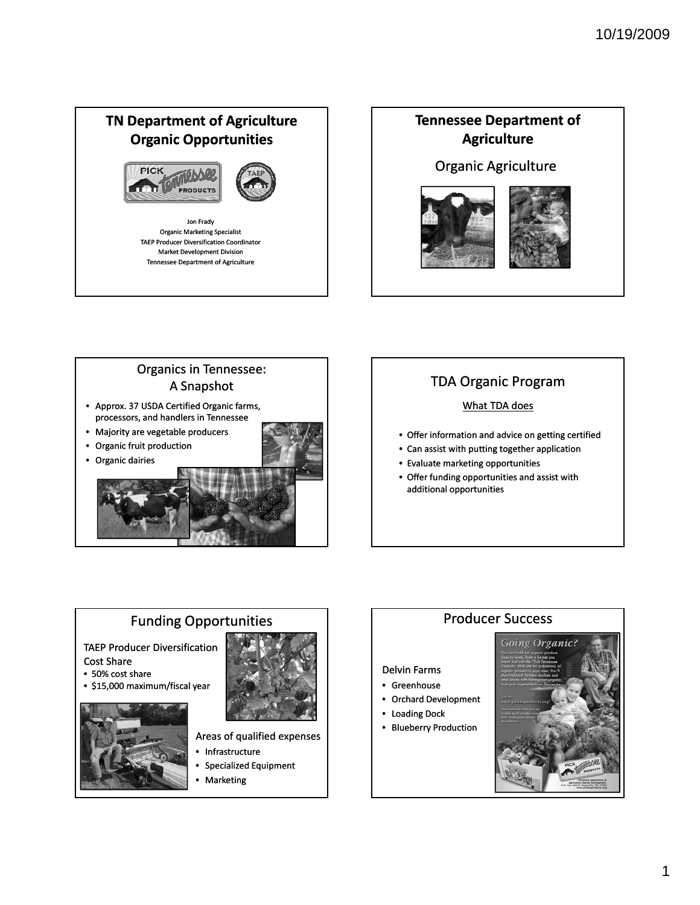## **TN Department of Agriculture Organic Opportunities**





Jon Frady Organic Marketing Specialist TAEP Producer Diversification Coordinator Market Development Division Tennessee Department of Agriculture

## **Tennessee Department of Agriculture**

### Organic Agriculture





### Organics in Tennessee: A Snapshot • Approx. 37 USDA Certified Organic farms,

- processors, and handlers in Tennessee
- Majority are vegetable producers
- Organic fruit production



# TDA Organic Program

### What TDA does

- Offer information and advice on getting certified
- Can assist with putting together application
- Evaluate marketing opportunities
- Offer funding opportunities and assist with additional opportunities

# Funding Opportunities

TAEP Producer Diversification Cost Share

- 50% cost share
- \$15,000 maximum/fiscal year



- Areas of qualified expenses
- Infrastructure
- Specialized Equipment
- Marketing

### **Going Organic?** Delvin Farms • Greenhouse • Orchard Development • Loading Dock

Producer Success

• Blueberry Production

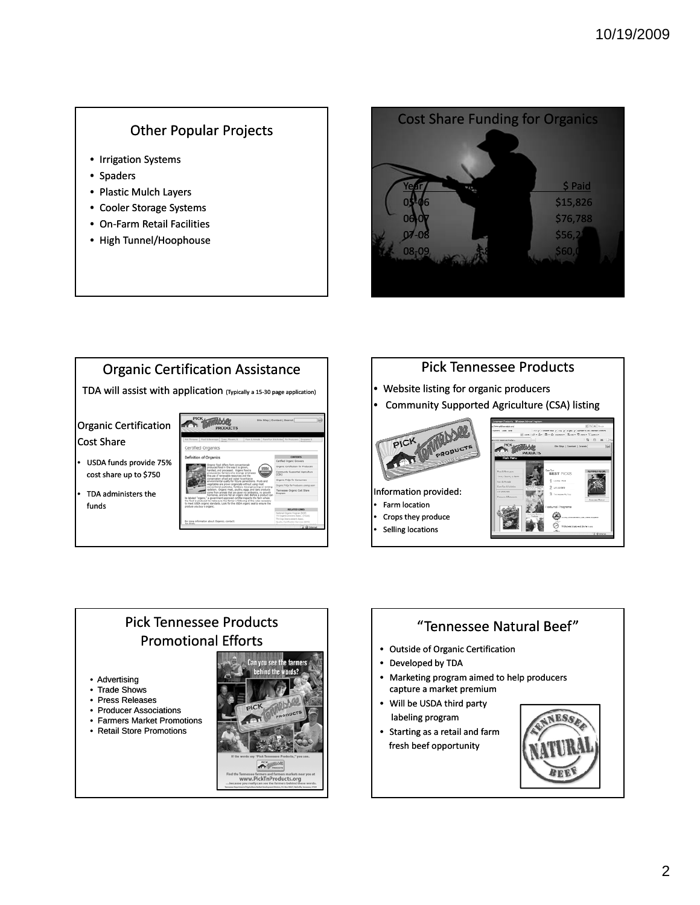### Other Popular Projects

- Irrigation Systems
- Spaders
- Plastic Mulch Layers
- Cooler Storage Systems
- On‐Farm Retail Facilities
- High Tunnel/Hoophouse







- Website listing for organic producers
- Community Supported Agriculture (CSA) listing





# "Tennessee Natural Beef"

- Outside of Organic Certification
- Developed by TDA
- Marketing program aimed to help producers capture a market premium
- Will be USDA third party labeling program
- Starting as a retail and farm fresh beef opportunity